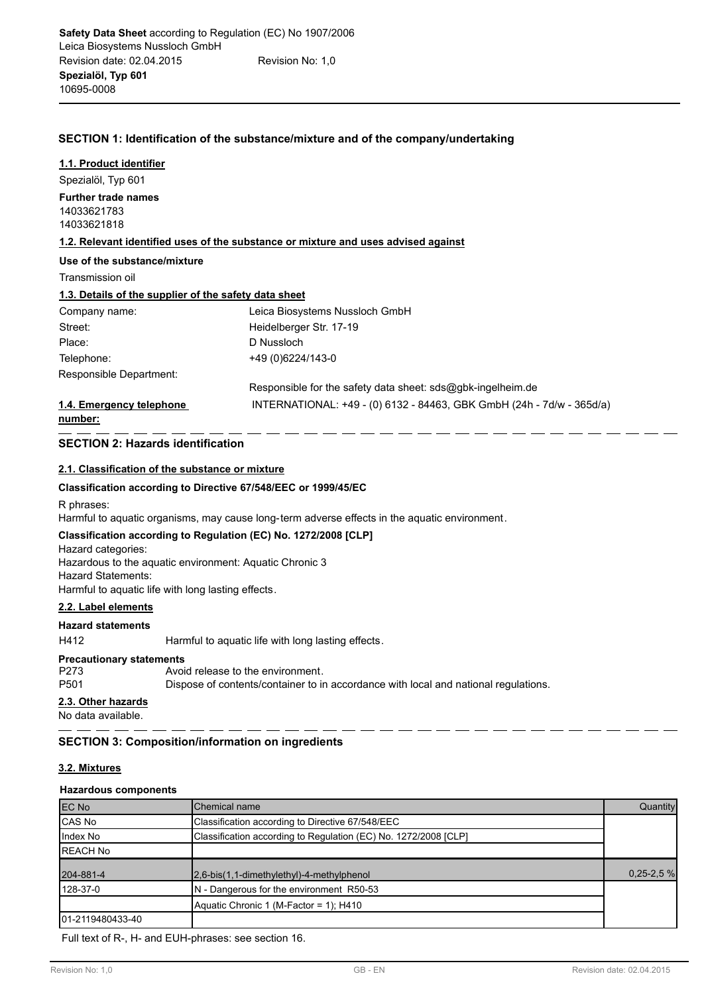## **SECTION 1: Identification of the substance/mixture and of the company/undertaking**

#### **1.1. Product identifier**

Spezialöl, Typ 601 14033621783 14033621818 **Further trade names**

**1.2. Relevant identified uses of the substance or mixture and uses advised against**

#### **Use of the substance/mixture**

Transmission oil

## **1.3. Details of the supplier of the safety data sheet**

| Company name:            | Leica Biosystems Nussloch GmbH                                        |
|--------------------------|-----------------------------------------------------------------------|
| Street:                  | Heidelberger Str. 17-19                                               |
| Place:                   | D Nussloch                                                            |
| Telephone:               | +49 (0) 6224/143-0                                                    |
| Responsible Department:  |                                                                       |
|                          | Responsible for the safety data sheet: sds@gbk-ingelheim.de           |
| 1.4. Emergency telephone | INTERNATIONAL: +49 - (0) 6132 - 84463, GBK GmbH (24h - 7d/w - 365d/a) |

### **number:**

## **SECTION 2: Hazards identification**

## **2.1. Classification of the substance or mixture**

#### **Classification according to Directive 67/548/EEC or 1999/45/EC**

R phrases:

Harmful to aquatic organisms, may cause long-term adverse effects in the aquatic environment.

## **Classification according to Regulation (EC) No. 1272/2008 [CLP]**

Hazard categories: Hazardous to the aquatic environment: Aquatic Chronic 3 Hazard Statements: Harmful to aquatic life with long lasting effects.

## **2.2. Label elements**

#### **Hazard statements**

H412 Harmful to aquatic life with long lasting effects.

#### **Precautionary statements**

| 2.3. Other hazards |                                                                                     |
|--------------------|-------------------------------------------------------------------------------------|
| P501               | Dispose of contents/container to in accordance with local and national regulations. |
| P273               | Avoid release to the environment.                                                   |
|                    |                                                                                     |

No data available.

## **SECTION 3: Composition/information on ingredients**

## **3.2. Mixtures**

## **Hazardous components**

| <b>IEC No</b>     | Chemical name                                                   | Quantity      |
|-------------------|-----------------------------------------------------------------|---------------|
| <b>CAS No</b>     | Classification according to Directive 67/548/EEC                |               |
| Index No          | Classification according to Regulation (EC) No. 1272/2008 [CLP] |               |
| <b>IREACH No</b>  |                                                                 |               |
| 204-881-4         | $2,6-bis(1,1-dimethylethyl)-4-methylphenol$                     | $0,25 - 2,5%$ |
| 128-37-0          | N - Dangerous for the environment R50-53                        |               |
|                   | Aquatic Chronic 1 (M-Factor = 1); H410                          |               |
| 101-2119480433-40 |                                                                 |               |

Full text of R-, H- and EUH-phrases: see section 16.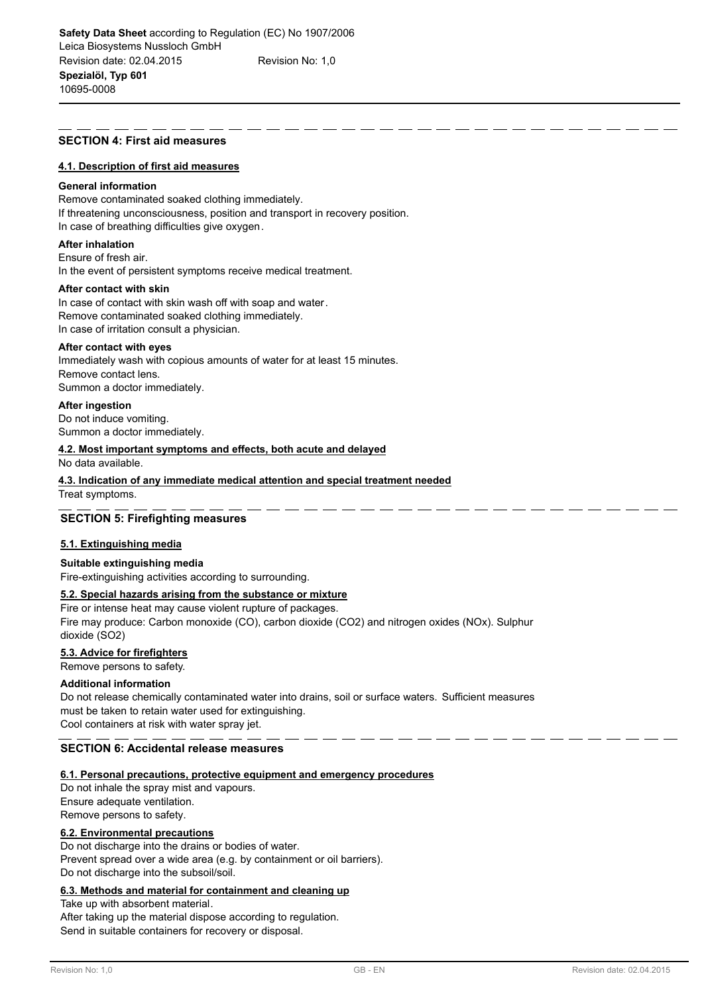#### **SECTION 4: First aid measures**

#### **4.1. Description of first aid measures**

#### **General information**

Remove contaminated soaked clothing immediately. If threatening unconsciousness, position and transport in recovery position. In case of breathing difficulties give oxygen.

#### **After inhalation**

Ensure of fresh air.

In the event of persistent symptoms receive medical treatment.

## **After contact with skin**

In case of contact with skin wash off with soap and water. Remove contaminated soaked clothing immediately. In case of irritation consult a physician.

#### **After contact with eyes**

Immediately wash with copious amounts of water for at least 15 minutes. Remove contact lens. Summon a doctor immediately.

#### **After ingestion**

Do not induce vomiting. Summon a doctor immediately.

#### **4.2. Most important symptoms and effects, both acute and delayed**

No data available.

#### **4.3. Indication of any immediate medical attention and special treatment needed**

Treat symptoms.

## **SECTION 5: Firefighting measures**

## **5.1. Extinguishing media**

#### **Suitable extinguishing media**

Fire-extinguishing activities according to surrounding.

## **5.2. Special hazards arising from the substance or mixture**

Fire or intense heat may cause violent rupture of packages. Fire may produce: Carbon monoxide (CO), carbon dioxide (CO2) and nitrogen oxides (NOx). Sulphur dioxide (SO2)

## **5.3. Advice for firefighters**

Remove persons to safety.

## **Additional information**

Do not release chemically contaminated water into drains, soil or surface waters. Sufficient measures must be taken to retain water used for extinguishing. Cool containers at risk with water spray jet.

## **SECTION 6: Accidental release measures**

#### **6.1. Personal precautions, protective equipment and emergency procedures**

Do not inhale the spray mist and vapours. Ensure adequate ventilation. Remove persons to safety.

### **6.2. Environmental precautions**

Do not discharge into the drains or bodies of water. Prevent spread over a wide area (e.g. by containment or oil barriers). Do not discharge into the subsoil/soil.

## **6.3. Methods and material for containment and cleaning up**

Take up with absorbent material.

After taking up the material dispose according to regulation. Send in suitable containers for recovery or disposal.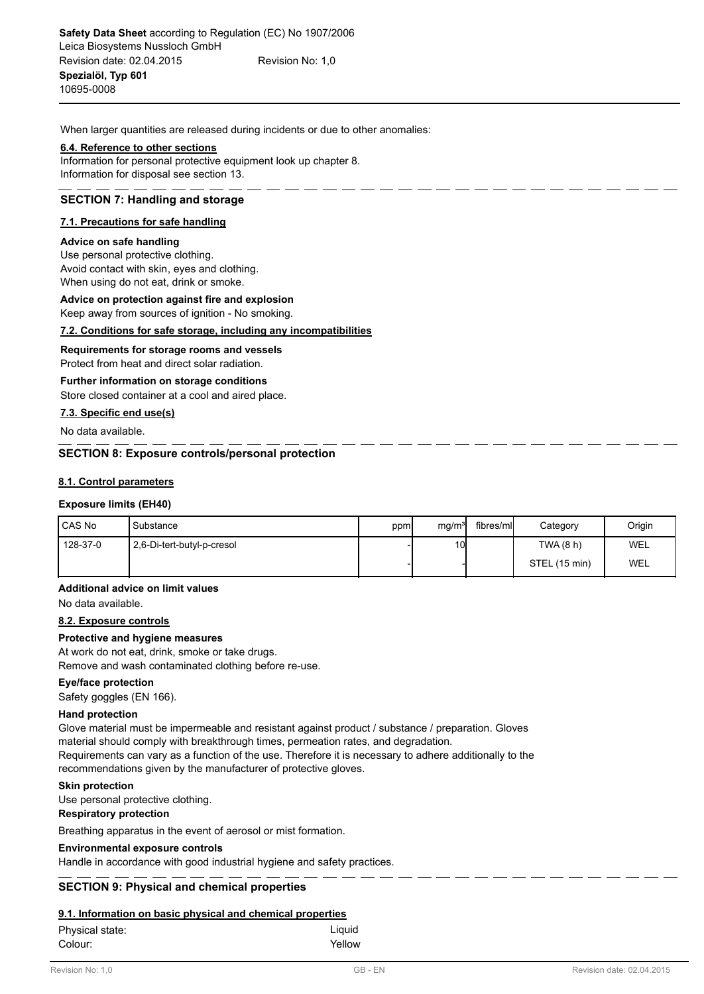When larger quantities are released during incidents or due to other anomalies:

### **6.4. Reference to other sections**

Information for personal protective equipment look up chapter 8. Information for disposal see section 13.

## **SECTION 7: Handling and storage**

## **7.1. Precautions for safe handling**

#### **Advice on safe handling**

Use personal protective clothing. Avoid contact with skin, eyes and clothing. When using do not eat, drink or smoke.

## **Advice on protection against fire and explosion**

Keep away from sources of ignition - No smoking.

## **7.2. Conditions for safe storage, including any incompatibilities**

**Requirements for storage rooms and vessels**

Protect from heat and direct solar radiation.

## **Further information on storage conditions**

Store closed container at a cool and aired place.

## **7.3. Specific end use(s)**

No data available.

## **SECTION 8: Exposure controls/personal protection**

## **8.1. Control parameters**

## **Exposure limits (EH40)**

| l CAS No   | Substance                  | ppm | mq/m <sup>3</sup> | fibres/mll | Category      | Origin |
|------------|----------------------------|-----|-------------------|------------|---------------|--------|
| l 128-37-0 | 2,6-Di-tert-butyl-p-cresol |     | 10 <sup>1</sup>   |            | TWA (8 h)     | WEL    |
|            |                            |     |                   |            | STEL (15 min) | WEL    |

## **Additional advice on limit values**

No data available.

## **8.2. Exposure controls**

## **Protective and hygiene measures**

At work do not eat, drink, smoke or take drugs.

Remove and wash contaminated clothing before re-use.

## **Eye/face protection**

Safety goggles (EN 166).

## **Hand protection**

Glove material must be impermeable and resistant against product / substance / preparation. Gloves material should comply with breakthrough times, permeation rates, and degradation. Requirements can vary as a function of the use. Therefore it is necessary to adhere additionally to the recommendations given by the manufacturer of protective gloves.

#### **Skin protection**

Use personal protective clothing.

#### **Respiratory protection**

Breathing apparatus in the event of aerosol or mist formation.

#### **Environmental exposure controls**

Handle in accordance with good industrial hygiene and safety practices.

## **SECTION 9: Physical and chemical properties**

#### **9.1. Information on basic physical and chemical properties**

| Physical state: | Liguid |
|-----------------|--------|
| Colour:         | Yellow |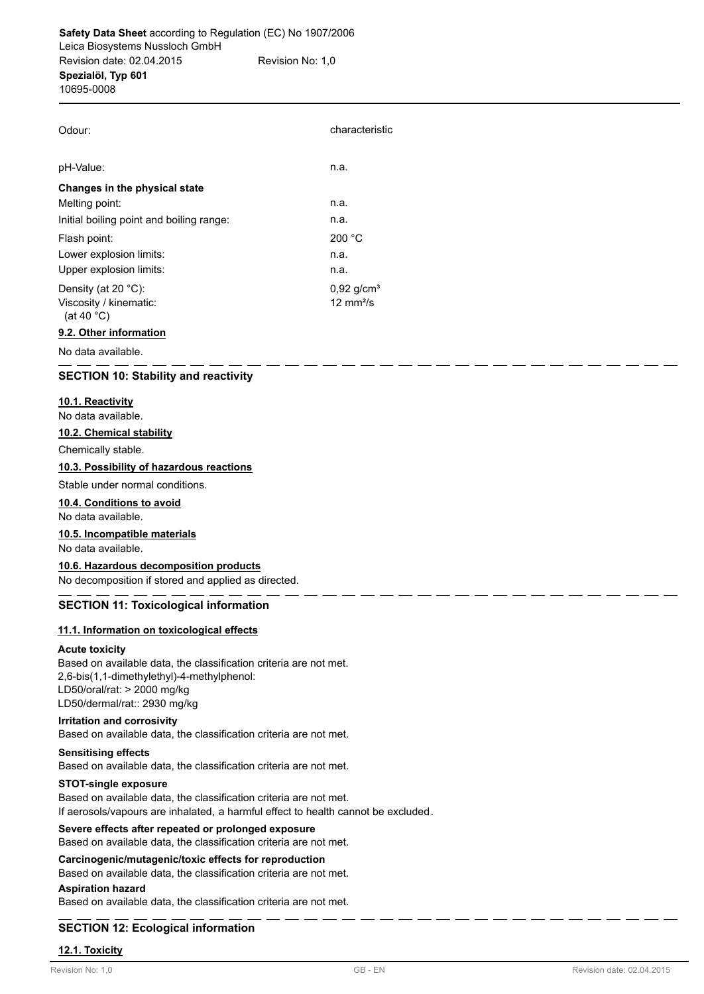| Odour:                                                                   | characteristic                                   |  |
|--------------------------------------------------------------------------|--------------------------------------------------|--|
| pH-Value:                                                                | n.a.                                             |  |
| Changes in the physical state                                            |                                                  |  |
| Melting point:                                                           | n.a.                                             |  |
| Initial boiling point and boiling range:                                 | n.a.                                             |  |
| Flash point:                                                             | 200 °C                                           |  |
| Lower explosion limits:                                                  | n.a.                                             |  |
| Upper explosion limits:                                                  | n.a.                                             |  |
| Density (at 20 $°C$ ):<br>Viscosity / kinematic:<br>(at 40 $^{\circ}$ C) | $0,92$ g/cm <sup>3</sup><br>$12 \text{ mm}^2$ /s |  |
| 0.2. Other information                                                   |                                                  |  |

#### **9.2. Other information**

No data available.

## **SECTION 10: Stability and reactivity**

## **10.1. Reactivity**

No data available.

#### **10.2. Chemical stability**

Chemically stable.

## **10.3. Possibility of hazardous reactions**

Stable under normal conditions.

## **10.4. Conditions to avoid**

No data available.

## **10.5. Incompatible materials**

No data available.

#### **10.6. Hazardous decomposition products**

No decomposition if stored and applied as directed.

## **SECTION 11: Toxicological information**

### **11.1. Information on toxicological effects**

#### **Acute toxicity**

Based on available data, the classification criteria are not met. 2,6-bis(1,1-dimethylethyl)-4-methylphenol: LD50/oral/rat: > 2000 mg/kg LD50/dermal/rat:: 2930 mg/kg

### **Irritation and corrosivity**

Based on available data, the classification criteria are not met.

## **Sensitising effects**

Based on available data, the classification criteria are not met.

## **STOT-single exposure**

Based on available data, the classification criteria are not met. If aerosols/vapours are inhalated, a harmful effect to health cannot be excluded.

#### **Severe effects after repeated or prolonged exposure** Based on available data, the classification criteria are not met.

# **Carcinogenic/mutagenic/toxic effects for reproduction**

Based on available data, the classification criteria are not met.

## **Aspiration hazard**

Based on available data, the classification criteria are not met.

## **SECTION 12: Ecological information**

#### **12.1. Toxicity**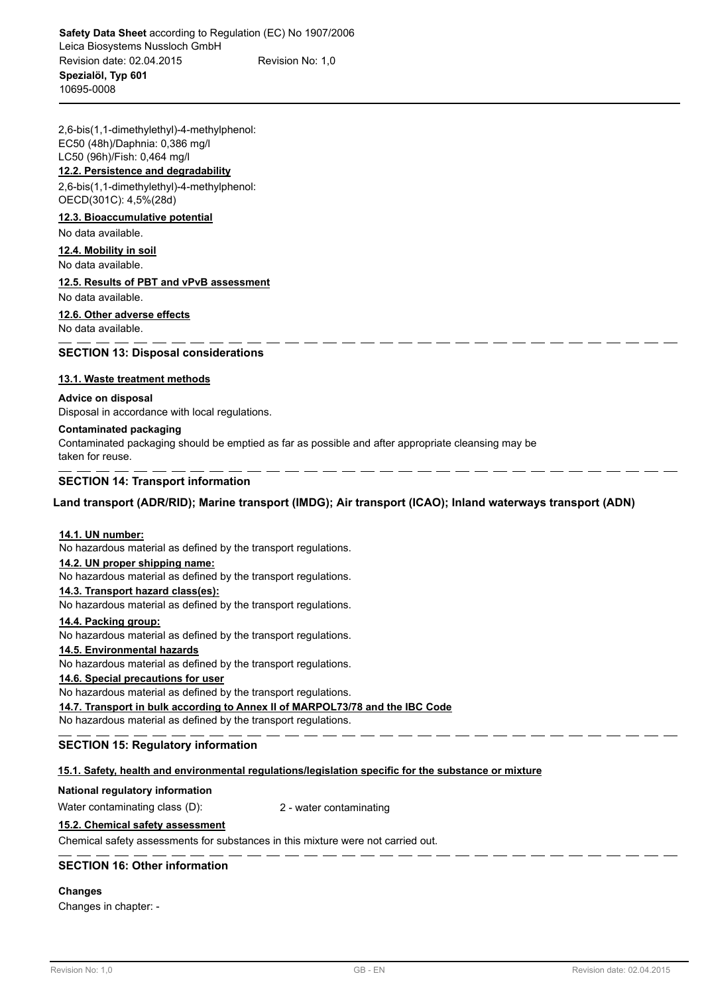2,6-bis(1,1-dimethylethyl)-4-methylphenol: EC50 (48h)/Daphnia: 0,386 mg/l LC50 (96h)/Fish: 0,464 mg/l

## **12.2. Persistence and degradability**

2,6-bis(1,1-dimethylethyl)-4-methylphenol: OECD(301C): 4,5%(28d)

#### **12.3. Bioaccumulative potential**

No data available.

## **12.4. Mobility in soil**

No data available.

## **12.5. Results of PBT and vPvB assessment**

No data available.

## **12.6. Other adverse effects**

No data available.

## **SECTION 13: Disposal considerations**

## **13.1. Waste treatment methods**

#### **Advice on disposal**

Disposal in accordance with local regulations.

## **Contaminated packaging**

Contaminated packaging should be emptied as far as possible and after appropriate cleansing may be taken for reuse.

## **SECTION 14: Transport information**

## **Land transport (ADR/RID); Marine transport (IMDG); Air transport (ICAO); Inland waterways transport (ADN)**

#### **14.1. UN number:**

No hazardous material as defined by the transport regulations.

#### **14.2. UN proper shipping name:**

No hazardous material as defined by the transport regulations.

#### **14.3. Transport hazard class(es):**

No hazardous material as defined by the transport regulations.

#### **14.4. Packing group:**

No hazardous material as defined by the transport regulations.

#### **14.5. Environmental hazards**

No hazardous material as defined by the transport regulations.

## **14.6. Special precautions for user**

No hazardous material as defined by the transport regulations.

**14.7. Transport in bulk according to Annex II of MARPOL73/78 and the IBC Code**

No hazardous material as defined by the transport regulations.

## **SECTION 15: Regulatory information**

#### **15.1. Safety, health and environmental regulations/legislation specific for the substance or mixture**

#### **National regulatory information**

Water contaminating class (D): 2 - water contaminating

#### **15.2. Chemical safety assessment**

Chemical safety assessments for substances in this mixture were not carried out.

## **SECTION 16: Other information**

#### **Changes**

Changes in chapter: -